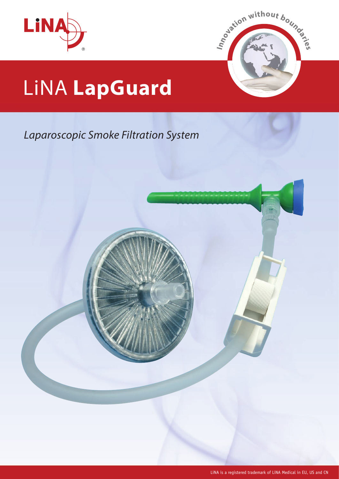



# LiNA **LapGuard**

### *Laparoscopic Smoke Filtration System*